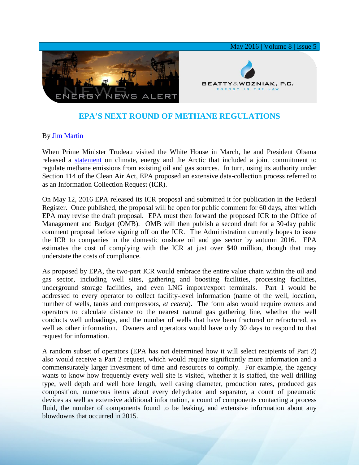

## **EPA'S NEXT ROUND OF METHANE REGULATIONS**

## By [Jim Martin](http://www.bwenergylaw.com/#!jim-martin/cqkh)

When Prime Minister Trudeau visited the White House in March, he and President Obama released a [statement](https://www.whitehouse.gov/the-press-office/2016/03/10/us-canada-joint-statement-climate-energy-and-arctic-leadership) on climate, energy and the Arctic that included a joint commitment to regulate methane emissions from existing oil and gas sources. In turn, using its authority under Section 114 of the Clean Air Act, EPA proposed an extensive data-collection process referred to as an Information Collection Request (ICR).

On May 12, 2016 EPA released its ICR proposal and submitted it for publication in the Federal Register. Once published, the proposal will be open for public comment for 60 days, after which EPA may revise the draft proposal. EPA must then forward the proposed ICR to the Office of Management and Budget (OMB). OMB will then publish a second draft for a 30-day public comment proposal before signing off on the ICR. The Administration currently hopes to issue the ICR to companies in the domestic onshore oil and gas sector by autumn 2016. EPA estimates the cost of complying with the ICR at just over \$40 million, though that may understate the costs of compliance.

As proposed by EPA, the two-part ICR would embrace the entire value chain within the oil and gas sector, including well sites, gathering and boosting facilities, processing facilities, underground storage facilities, and even LNG import/export terminals. Part 1 would be addressed to every operator to collect facility-level information (name of the well, location, number of wells, tanks and compressors, *et cetera*). The form also would require owners and operators to calculate distance to the nearest natural gas gathering line, whether the well conducts well unloadings, and the number of wells that have been fractured or refractured, as well as other information. Owners and operators would have only 30 days to respond to that request for information.

A random subset of operators (EPA has not determined how it will select recipients of Part 2) also would receive a Part 2 request, which would require significantly more information and a commensurately larger investment of time and resources to comply. For example, the agency wants to know how frequently every well site is visited, whether it is staffed, the well drilling type, well depth and well bore length, well casing diameter, production rates, produced gas composition, numerous items about every dehydrator and separator, a count of pneumatic devices as well as extensive additional information, a count of components contacting a process fluid, the number of components found to be leaking, and extensive information about any blowdowns that occurred in 2015.